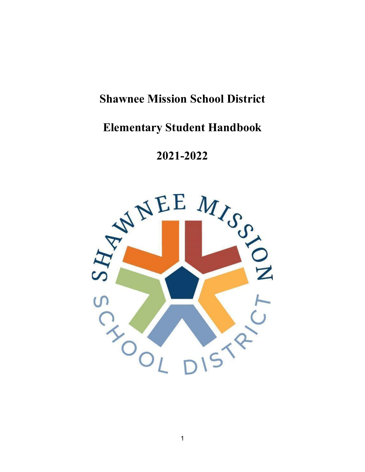# **Shawnee Mission School District**

# **Elementary Student Handbook**

**2021-2022**

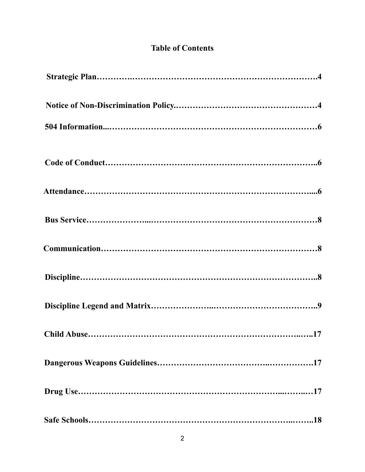## **Table of Contents**

| Child Abuse<br>. 17 |
|---------------------|
|                     |
|                     |
|                     |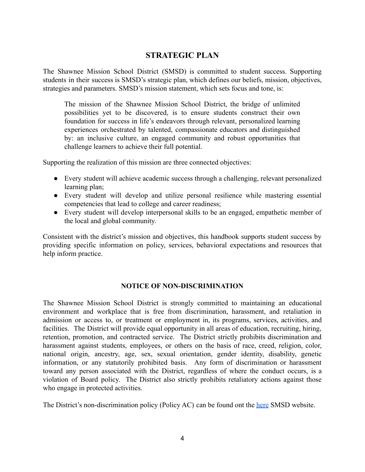## **STRATEGIC PLAN**

The Shawnee Mission School District (SMSD) is committed to student success. Supporting students in their success is SMSD's strategic plan, which defines our beliefs, mission, objectives, strategies and parameters. SMSD's mission statement, which sets focus and tone, is:

The mission of the Shawnee Mission School District, the bridge of unlimited possibilities yet to be discovered, is to ensure students construct their own foundation for success in life's endeavors through relevant, personalized learning experiences orchestrated by talented, compassionate educators and distinguished by: an inclusive culture, an engaged community and robust opportunities that challenge learners to achieve their full potential.

Supporting the realization of this mission are three connected objectives:

- Every student will achieve academic success through a challenging, relevant personalized learning plan;
- Every student will develop and utilize personal resilience while mastering essential competencies that lead to college and career readiness;
- Every student will develop interpersonal skills to be an engaged, empathetic member of the local and global community.

Consistent with the district's mission and objectives, this handbook supports student success by providing specific information on policy, services, behavioral expectations and resources that help inform practice.

#### **NOTICE OF NON-DISCRIMINATION**

The Shawnee Mission School District is strongly committed to maintaining an educational environment and workplace that is free from discrimination, harassment, and retaliation in admission or access to, or treatment or employment in, its programs, services, activities, and facilities. The District will provide equal opportunity in all areas of education, recruiting, hiring, retention, promotion, and contracted service. The District strictly prohibits discrimination and harassment against students, employees, or others on the basis of race, creed, religion, color, national origin, ancestry, age, sex, sexual orientation, gender identity, disability, genetic information, or any statutorily prohibited basis. Any form of discrimination or harassment toward any person associated with the District, regardless of where the conduct occurs, is a violation of Board policy. The District also strictly prohibits retaliatory actions against those who engage in protected activities.

The District's non-discrimination policy (Policy AC) can be found ont the here SMSD website.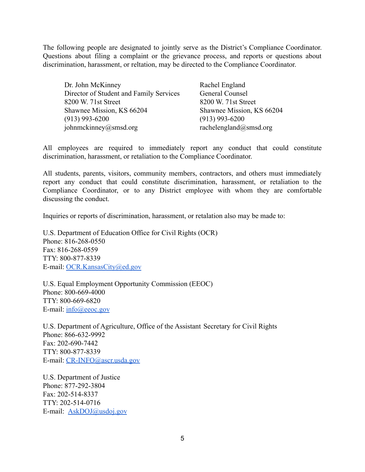The following people are designated to jointly serve as the District's Compliance Coordinator. Questions about filing a complaint or the grievance process, and reports or questions about discrimination, harassment, or reltation, may be directed to the Compliance Coordinator.

| Dr. John McKinney                       | Rachel England            |
|-----------------------------------------|---------------------------|
| Director of Student and Family Services | General Counsel           |
| 8200 W. 71st Street                     | 8200 W. 71st Street       |
| Shawnee Mission, KS 66204               | Shawnee Mission, KS 66204 |
| $(913)$ 993-6200                        | $(913)$ 993-6200          |
| johnmckinney@smsd.org                   | rachelengland@smsd.org    |

All employees are required to immediately report any conduct that could constitute discrimination, harassment, or retaliation to the Compliance Coordinator.

All students, parents, visitors, community members, contractors, and others must immediately report any conduct that could constitute discrimination, harassment, or retaliation to the Compliance Coordinator, or to any District employee with whom they are comfortable discussing the conduct.

Inquiries or reports of discrimination, harassment, or retalation also may be made to:

U.S. Department of Education Office for Civil Rights (OCR) Phone: 816-268-0550 Fax: 816-268-0559 TTY: 800-877-8339 E-mail: OCR.KansasCity@ed.gov

U.S. Equal Employment Opportunity Commission (EEOC) Phone: 800-669-4000 TTY: 800-669-6820 E-mail: info@eeoc.gov

U.S. Department of Agriculture, Office of the Assistant Secretary for Civil Rights Phone: 866-632-9992 Fax: 202-690-7442 TTY: 800-877-8339 E-mail: CR-INFO@ascr.usda.gov

U.S. Department of Justice Phone: 877-292-3804 Fax: 202-514-8337 TTY: 202-514-0716 E-mail: AskDOJ@usdoj.gov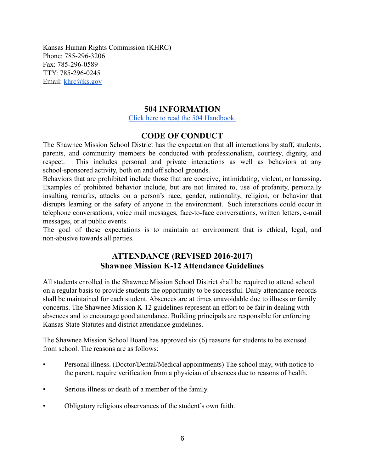Kansas Human Rights Commission (KHRC) Phone: 785-296-3206 Fax: 785-296-0589 TTY: 785-296-0245 Email: khrc@ks.gov

## **504 INFORMATION**

Click here to read the 504 Handbook.

## **CODE OF CONDUCT**

The Shawnee Mission School District has the expectation that all interactions by staff, students, parents, and community members be conducted with professionalism, courtesy, dignity, and respect. This includes personal and private interactions as well as behaviors at any school-sponsored activity, both on and off school grounds.

Behaviors that are prohibited include those that are coercive, intimidating, violent, or harassing. Examples of prohibited behavior include, but are not limited to, use of profanity, personally insulting remarks, attacks on a person's race, gender, nationality, religion, or behavior that disrupts learning or the safety of anyone in the environment. Such interactions could occur in telephone conversations, voice mail messages, face-to-face conversations, written letters, e-mail messages, or at public events.

The goal of these expectations is to maintain an environment that is ethical, legal, and non-abusive towards all parties.

## **ATTENDANCE (REVISED 2016-2017) Shawnee Mission K-12 Attendance Guidelines**

All students enrolled in the Shawnee Mission School District shall be required to attend school on a regular basis to provide students the opportunity to be successful. Daily attendance records shall be maintained for each student. Absences are at times unavoidable due to illness or family concerns. The Shawnee Mission K-12 guidelines represent an effort to be fair in dealing with absences and to encourage good attendance. Building principals are responsible for enforcing Kansas State Statutes and district attendance guidelines.

The Shawnee Mission School Board has approved six (6) reasons for students to be excused from school. The reasons are as follows:

- Personal illness. (Doctor/Dental/Medical appointments) The school may, with notice to the parent, require verification from a physician of absences due to reasons of health.
- Serious illness or death of a member of the family.
- Obligatory religious observances of the student's own faith.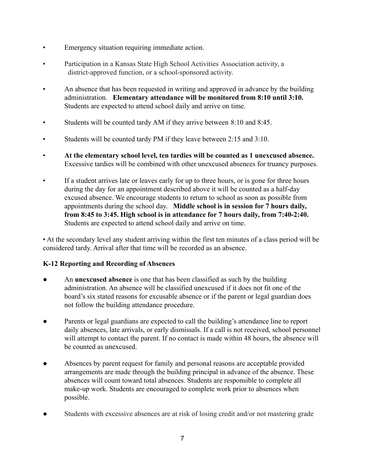- Emergency situation requiring immediate action.
- Participation in a Kansas State High School Activities Association activity, a district-approved function, or a school-sponsored activity.
- An absence that has been requested in writing and approved in advance by the building administration. **Elementary attendance will be monitored from 8:10 until 3:10.** Students are expected to attend school daily and arrive on time.
- Students will be counted tardy AM if they arrive between 8:10 and 8:45.
- Students will be counted tardy PM if they leave between 2:15 and 3:10.
- **At the elementary school level, ten tardies will be counted as 1 unexcused absence.** Excessive tardies will be combined with other unexcused absences for truancy purposes.
- If a student arrives late or leaves early for up to three hours, or is gone for three hours during the day for an appointment described above it will be counted as a half-day excused absence. We encourage students to return to school as soon as possible from appointments during the school day. **Middle school is in session for 7 hours daily, from 8:45 to 3:45. High school is in attendance for 7 hours daily, from 7:40-2:40.** Students are expected to attend school daily and arrive on time.

• At the secondary level any student arriving within the first ten minutes of a class period will be considered tardy. Arrival after that time will be recorded as an absence.

## **K-12 Reporting and Recording of Absences**

- An **unexcused absence** is one that has been classified as such by the building administration. An absence will be classified unexcused if it does not fit one of the board's six stated reasons for excusable absence or if the parent or legal guardian does not follow the building attendance procedure.
- Parents or legal guardians are expected to call the building's attendance line to report daily absences, late arrivals, or early dismissals. If a call is not received, school personnel will attempt to contact the parent. If no contact is made within 48 hours, the absence will be counted as unexcused.
- Absences by parent request for family and personal reasons are acceptable provided arrangements are made through the building principal in advance of the absence. These absences will count toward total absences. Students are responsible to complete all make-up work. Students are encouraged to complete work prior to absences when possible.
- Students with excessive absences are at risk of losing credit and/or not mastering grade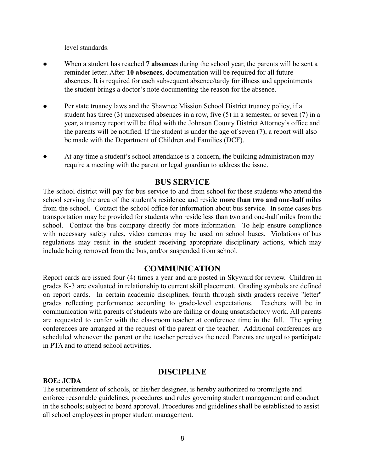level standards.

- When a student has reached **7 absences** during the school year, the parents will be sent a reminder letter. After **10 absences**, documentation will be required for all future absences. It is required for each subsequent absence/tardy for illness and appointments the student brings a doctor's note documenting the reason for the absence.
- Per state truancy laws and the Shawnee Mission School District truancy policy, if a student has three (3) unexcused absences in a row, five (5) in a semester, or seven (7) in a year, a truancy report will be filed with the Johnson County District Attorney's office and the parents will be notified. If the student is under the age of seven (7), a report will also be made with the Department of Children and Families (DCF).
- At any time a student's school attendance is a concern, the building administration may require a meeting with the parent or legal guardian to address the issue.

#### **BUS SERVICE**

The school district will pay for bus service to and from school for those students who attend the school serving the area of the student's residence and reside **more than two and one-half miles** from the school. Contact the school office for information about bus service. In some cases bus transportation may be provided for students who reside less than two and one-half miles from the school. Contact the bus company directly for more information. To help ensure compliance with necessary safety rules, video cameras may be used on school buses. Violations of bus regulations may result in the student receiving appropriate disciplinary actions, which may include being removed from the bus, and/or suspended from school.

#### **COMMUNICATION**

Report cards are issued four (4) times a year and are posted in Skyward for review. Children in grades K-3 are evaluated in relationship to current skill placement. Grading symbols are defined on report cards. In certain academic disciplines, fourth through sixth graders receive "letter" grades reflecting performance according to grade-level expectations. Teachers will be in communication with parents of students who are failing or doing unsatisfactory work. All parents are requested to confer with the classroom teacher at conference time in the fall. The spring conferences are arranged at the request of the parent or the teacher. Additional conferences are scheduled whenever the parent or the teacher perceives the need. Parents are urged to participate in PTA and to attend school activities.

#### **DISCIPLINE**

#### **BOE: JCDA**

The superintendent of schools, or his/her designee, is hereby authorized to promulgate and enforce reasonable guidelines, procedures and rules governing student management and conduct in the schools; subject to board approval. Procedures and guidelines shall be established to assist all school employees in proper student management.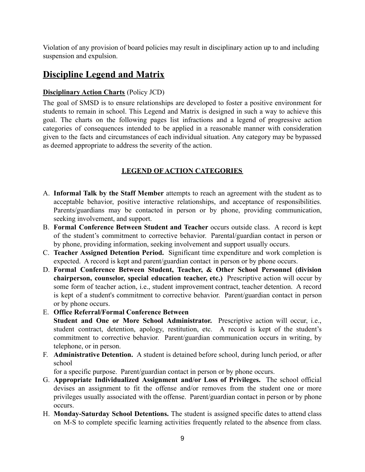Violation of any provision of board policies may result in disciplinary action up to and including suspension and expulsion.

## **Discipline Legend and Matrix**

## **Disciplinary Action Charts** (Policy JCD)

The goal of SMSD is to ensure relationships are developed to foster a positive environment for students to remain in school. This Legend and Matrix is designed in such a way to achieve this goal. The charts on the following pages list infractions and a legend of progressive action categories of consequences intended to be applied in a reasonable manner with consideration given to the facts and circumstances of each individual situation. Any category may be bypassed as deemed appropriate to address the severity of the action.

## **LEGEND OF ACTION CATEGORIES**

- A. **Informal Talk by the Staff Member** attempts to reach an agreement with the student as to acceptable behavior, positive interactive relationships, and acceptance of responsibilities. Parents/guardians may be contacted in person or by phone, providing communication, seeking involvement, and support.
- B. **Formal Conference Between Student and Teacher** occurs outside class. A record is kept of the student's commitment to corrective behavior. Parental/guardian contact in person or by phone, providing information, seeking involvement and support usually occurs.
- C. **Teacher Assigned Detention Period.** Significant time expenditure and work completion is expected. A record is kept and parent/guardian contact in person or by phone occurs.
- D. **Formal Conference Between Student, Teacher, & Other School Personnel (division chairperson, counselor, special education teacher, etc.)** Prescriptive action will occur by some form of teacher action, i.e., student improvement contract, teacher detention. A record is kept of a student's commitment to corrective behavior. Parent/guardian contact in person or by phone occurs.
- E. **Office Referral/Formal Conference Between**

**Student and One or More School Administrator.** Prescriptive action will occur, i.e., student contract, detention, apology, restitution, etc. A record is kept of the student's commitment to corrective behavior. Parent/guardian communication occurs in writing, by telephone, or in person.

F. **Administrative Detention.** A student is detained before school, during lunch period, or after school

for a specific purpose. Parent/guardian contact in person or by phone occurs.

- G. **Appropriate Individualized Assignment and/or Loss of Privileges.** The school official devises an assignment to fit the offense and/or removes from the student one or more privileges usually associated with the offense. Parent/guardian contact in person or by phone occurs.
- H. **Monday-Saturday School Detentions.** The student is assigned specific dates to attend class on M-S to complete specific learning activities frequently related to the absence from class.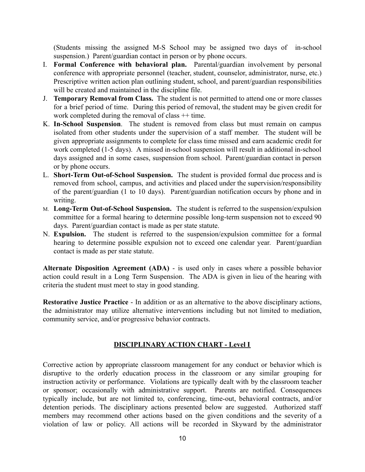(Students missing the assigned M-S School may be assigned two days of in-school suspension.) Parent/guardian contact in person or by phone occurs.

- I. **Formal Conference with behavioral plan.** Parental/guardian involvement by personal conference with appropriate personnel (teacher, student, counselor, administrator, nurse, etc.) Prescriptive written action plan outlining student, school, and parent/guardian responsibilities will be created and maintained in the discipline file.
- J. **Temporary Removal from Class.** The student is not permitted to attend one or more classes for a brief period of time. During this period of removal, the student may be given credit for work completed during the removal of class  $++$  time.
- K. **In-School Suspension**. The student is removed from class but must remain on campus isolated from other students under the supervision of a staff member. The student will be given appropriate assignments to complete for class time missed and earn academic credit for work completed (1-5 days). A missed in-school suspension will result in additional in-school days assigned and in some cases, suspension from school. Parent/guardian contact in person or by phone occurs.
- L. **Short-Term Out-of-School Suspension.** The student is provided formal due process and is removed from school, campus, and activities and placed under the supervision/responsibility of the parent/guardian (1 to 10 days). Parent/guardian notification occurs by phone and in writing.
- M. **Long-Term Out-of-School Suspension.** The student is referred to the suspension/expulsion committee for a formal hearing to determine possible long-term suspension not to exceed 90 days. Parent/guardian contact is made as per state statute.
- N. **Expulsion.** The student is referred to the suspension/expulsion committee for a formal hearing to determine possible expulsion not to exceed one calendar year. Parent/guardian contact is made as per state statute.

**Alternate Disposition Agreement (ADA)** - is used only in cases where a possible behavior action could result in a Long Term Suspension. The ADA is given in lieu of the hearing with criteria the student must meet to stay in good standing.

**Restorative Justice Practice** - In addition or as an alternative to the above disciplinary actions, the administrator may utilize alternative interventions including but not limited to mediation, community service, and/or progressive behavior contracts.

#### **DISCIPLINARY ACTION CHART - Level I**

Corrective action by appropriate classroom management for any conduct or behavior which is disruptive to the orderly education process in the classroom or any similar grouping for instruction activity or performance. Violations are typically dealt with by the classroom teacher or sponsor; occasionally with administrative support. Parents are notified. Consequences typically include, but are not limited to, conferencing, time-out, behavioral contracts, and/or detention periods. The disciplinary actions presented below are suggested. Authorized staff members may recommend other actions based on the given conditions and the severity of a violation of law or policy. All actions will be recorded in Skyward by the administrator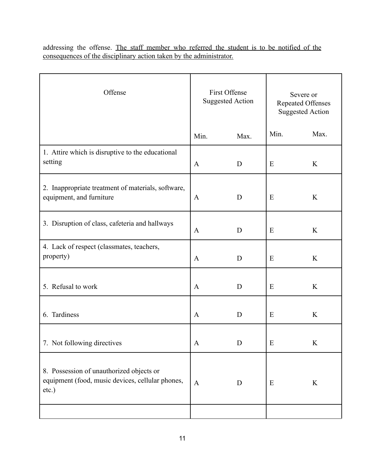addressing the offense. The staff member who referred the student is to be notified of the consequences of the disciplinary action taken by the administrator.

| Offense                                                                                               | First Offense<br><b>Suggested Action</b> |      | Severe or<br><b>Repeated Offenses</b><br><b>Suggested Action</b> |         |
|-------------------------------------------------------------------------------------------------------|------------------------------------------|------|------------------------------------------------------------------|---------|
|                                                                                                       | Min.                                     | Max. | Min.                                                             | Max.    |
| 1. Attire which is disruptive to the educational<br>setting                                           | $\mathbf{A}$                             | D    | E                                                                | K       |
| 2. Inappropriate treatment of materials, software,<br>equipment, and furniture                        | $\mathbf{A}$                             | D    | E                                                                | K       |
| 3. Disruption of class, cafeteria and hallways                                                        | $\mathbf{A}$                             | D    | E                                                                | K       |
| 4. Lack of respect (classmates, teachers,<br>property)                                                | $\mathbf{A}$                             | D    | E                                                                | K       |
| 5. Refusal to work                                                                                    | $\mathbf{A}$                             | D    | E                                                                | K       |
| 6. Tardiness                                                                                          | $\mathbf{A}$                             | D    | E                                                                | K       |
| 7. Not following directives                                                                           | A                                        | D    | E                                                                | K       |
| 8. Possession of unauthorized objects or<br>equipment (food, music devices, cellular phones,<br>etc.) | $\mathbf{A}$                             | D    | E                                                                | $\bf K$ |
|                                                                                                       |                                          |      |                                                                  |         |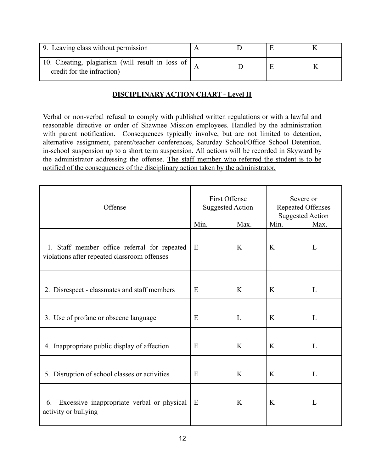| 9. Leaving class without permission                                              |  |  |
|----------------------------------------------------------------------------------|--|--|
| 10. Cheating, plagiarism (will result in loss of  <br>credit for the infraction) |  |  |

## **DISCIPLINARY ACTION CHART - Level II**

Verbal or non-verbal refusal to comply with published written regulations or with a lawful and reasonable directive or order of Shawnee Mission employees. Handled by the administration with parent notification. Consequences typically involve, but are not limited to detention, alternative assignment, parent/teacher conferences, Saturday School/Office School Detention. in-school suspension up to a short term suspension. All actions will be recorded in Skyward by the administrator addressing the offense. The staff member who referred the student is to be notified of the consequences of the disciplinary action taken by the administrator.

| Offense                                                                                      | <b>First Offense</b><br><b>Suggested Action</b><br>Min.<br>Max. |              | Severe or<br><b>Repeated Offenses</b><br><b>Suggested Action</b><br>Min. | Max. |
|----------------------------------------------------------------------------------------------|-----------------------------------------------------------------|--------------|--------------------------------------------------------------------------|------|
| 1. Staff member office referral for repeated<br>violations after repeated classroom offenses | E                                                               | K            | K                                                                        | L    |
| 2. Disrespect - classmates and staff members                                                 | E                                                               | K            | K                                                                        | L    |
| 3. Use of profane or obscene language                                                        | E                                                               | $\mathbf{L}$ | K                                                                        | L    |
| 4. Inappropriate public display of affection                                                 | E                                                               | K            | K                                                                        | L    |
| 5. Disruption of school classes or activities                                                | E                                                               | K            | K                                                                        | L    |
| Excessive inappropriate verbal or physical<br>6.<br>activity or bullying                     | E                                                               | K            | K                                                                        | L    |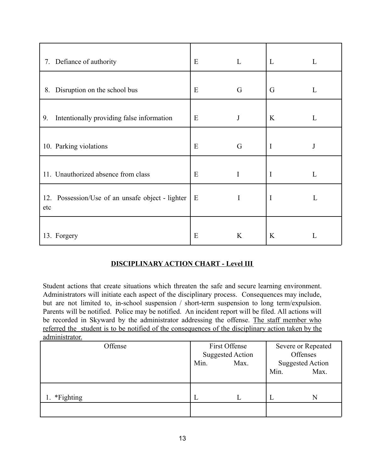| 7. Defiance of authority                                   | E | L        | L           | L |
|------------------------------------------------------------|---|----------|-------------|---|
| Disruption on the school bus<br>8.                         | E | G        | G           | L |
| Intentionally providing false information<br>9.            | E | J        | K           | L |
| 10. Parking violations                                     | E | G        | $\mathbf I$ | J |
| 11. Unauthorized absence from class                        | E | I        | $\mathbf I$ | L |
| Possession/Use of an unsafe object - lighter<br>12.<br>etc | Ε | $\bf{I}$ | $\mathbf I$ | L |
| 13. Forgery                                                | E | K        | K           | L |

## **DISCIPLINARY ACTION CHART - Level III**

Student actions that create situations which threaten the safe and secure learning environment. Administrators will initiate each aspect of the disciplinary process. Consequences may include, but are not limited to, in-school suspension / short-term suspension to long term/expulsion. Parents will be notified. Police may be notified. An incident report will be filed. All actions will be recorded in Skyward by the administrator addressing the offense. The staff member who referred the student is to be notified of the consequences of the disciplinary action taken by the administrator.

| <u> www.iiiiidu wuu .</u> |                                          |      |                                |      |
|---------------------------|------------------------------------------|------|--------------------------------|------|
| Offense                   | First Offense<br><b>Suggested Action</b> |      | Severe or Repeated<br>Offenses |      |
|                           | Min.                                     | Max. | <b>Suggested Action</b>        |      |
|                           |                                          |      |                                |      |
|                           |                                          |      | Min.                           | Max. |
|                           |                                          |      |                                |      |
| *Fighting                 | L                                        |      |                                | N    |
|                           |                                          |      |                                |      |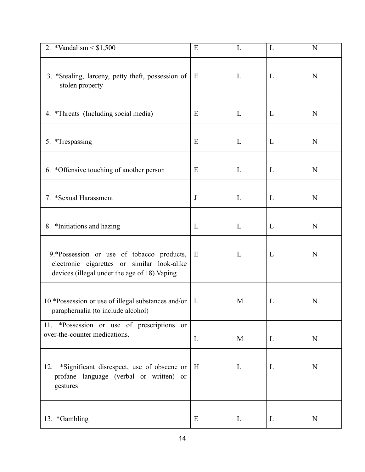| 2. *Vandalism $< $1,500$                                                                                                                 | E            | L | L | N |
|------------------------------------------------------------------------------------------------------------------------------------------|--------------|---|---|---|
| 3. *Stealing, larceny, petty theft, possession of<br>stolen property                                                                     | Ε            | L | L | N |
| 4. *Threats (Including social media)                                                                                                     | Ε            | L | L | N |
| 5. *Trespassing                                                                                                                          | E            | L | L | N |
| 6. *Offensive touching of another person                                                                                                 | Ε            | L | L | N |
| 7. *Sexual Harassment                                                                                                                    | J            | L | L | N |
| 8. *Initiations and hazing                                                                                                               | L            | L | L | N |
| 9.*Possession or use of tobacco products,<br>electronic cigarettes or similar look-alike<br>devices (illegal under the age of 18) Vaping | E            | L | L | N |
| 10.*Possession or use of illegal substances and/or  <br>paraphernalia (to include alcohol)                                               | $\mathsf{L}$ | M | L | N |
| 11. *Possession or use of prescriptions or<br>over-the-counter medications.                                                              | L            | M | L | N |
| 12. *Significant disrespect, use of obscene or<br>profane language (verbal or written) or<br>gestures                                    | H            | L | L | N |
| 13. *Gambling                                                                                                                            | E            | L | L | N |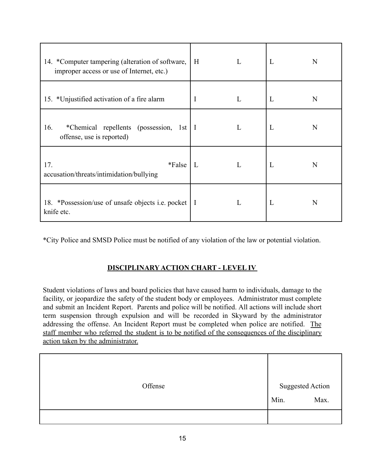| 14. *Computer tampering (alteration of software,<br>improper access or use of Internet, etc.) | H            | L | L | N |
|-----------------------------------------------------------------------------------------------|--------------|---|---|---|
| 15. *Unjustified activation of a fire alarm                                                   | I            | L | L | N |
| *Chemical repellents (possession,<br>16.<br>1st<br>offense, use is reported)                  | 1            | L | L | N |
| 17.<br>*False<br>accusation/threats/intimidation/bullying                                     | L            |   | L | N |
| 18. *Possession/use of unsafe objects <i>i.e.</i> pocket<br>knife etc.                        | $\mathbf{I}$ |   | L | N |

\*City Police and SMSD Police must be notified of any violation of the law or potential violation.

## **DISCIPLINARY ACTION CHART - LEVEL IV**

Student violations of laws and board policies that have caused harm to individuals, damage to the facility, or jeopardize the safety of the student body or employees. Administrator must complete and submit an Incident Report. Parents and police will be notified. All actions will include short term suspension through expulsion and will be recorded in Skyward by the administrator addressing the offense. An Incident Report must be completed when police are notified. The staff member who referred the student is to be notified of the consequences of the disciplinary action taken by the administrator.

| Offense | <b>Suggested Action</b> |      |
|---------|-------------------------|------|
|         | Min.                    | Max. |
|         |                         |      |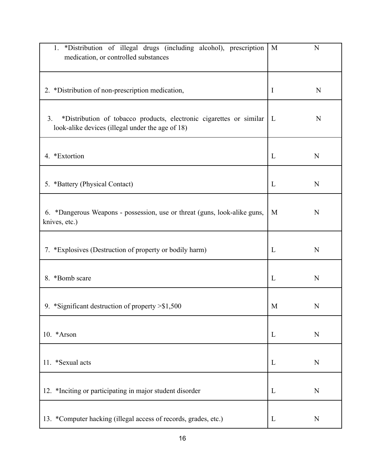| 1. *Distribution of illegal drugs (including alcohol), prescription<br>medication, or controlled substances                   | M            | N           |
|-------------------------------------------------------------------------------------------------------------------------------|--------------|-------------|
| 2. *Distribution of non-prescription medication,                                                                              | I            | N           |
| *Distribution of tobacco products, electronic cigarettes or similar<br>3.<br>look-alike devices (illegal under the age of 18) | $\mathbf{L}$ | N           |
| 4. *Extortion                                                                                                                 | $\Gamma$     | N           |
| 5. *Battery (Physical Contact)                                                                                                | L            | N           |
| 6. *Dangerous Weapons - possession, use or threat (guns, look-alike guns,<br>knives, etc.)                                    | M            | N           |
| 7. *Explosives (Destruction of property or bodily harm)                                                                       | L            | N           |
| 8. *Bomb scare                                                                                                                | L            | N           |
| 9. *Significant destruction of property > \$1,500                                                                             | M            | N           |
| 10. * Arson                                                                                                                   | L            | $\mathbf N$ |
| 11. *Sexual acts                                                                                                              | $\mathbf{L}$ | N           |
| 12. *Inciting or participating in major student disorder                                                                      | L            | N           |
| 13. *Computer hacking (illegal access of records, grades, etc.)                                                               | L            | N           |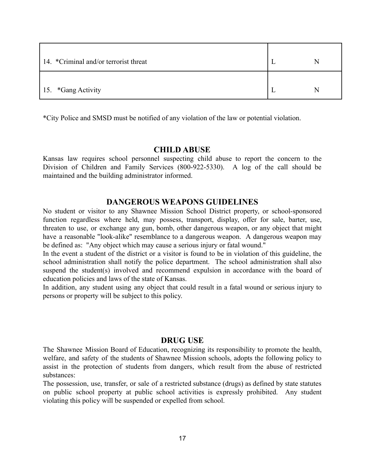| 14. *Criminal and/or terrorist threat |  |
|---------------------------------------|--|
| 15. *Gang Activity                    |  |

\*City Police and SMSD must be notified of any violation of the law or potential violation.

#### **CHILD ABUSE**

Kansas law requires school personnel suspecting child abuse to report the concern to the Division of Children and Family Services (800-922-5330). A log of the call should be maintained and the building administrator informed.

#### **DANGEROUS WEAPONS GUIDELINES**

No student or visitor to any Shawnee Mission School District property, or school-sponsored function regardless where held, may possess, transport, display, offer for sale, barter, use, threaten to use, or exchange any gun, bomb, other dangerous weapon, or any object that might have a reasonable "look-alike" resemblance to a dangerous weapon. A dangerous weapon may be defined as: "Any object which may cause a serious injury or fatal wound."

In the event a student of the district or a visitor is found to be in violation of this guideline, the school administration shall notify the police department. The school administration shall also suspend the student(s) involved and recommend expulsion in accordance with the board of education policies and laws of the state of Kansas.

In addition, any student using any object that could result in a fatal wound or serious injury to persons or property will be subject to this policy.

#### **DRUG USE**

The Shawnee Mission Board of Education, recognizing its responsibility to promote the health, welfare, and safety of the students of Shawnee Mission schools, adopts the following policy to assist in the protection of students from dangers, which result from the abuse of restricted substances:

The possession, use, transfer, or sale of a restricted substance (drugs) as defined by state statutes on public school property at public school activities is expressly prohibited. Any student violating this policy will be suspended or expelled from school.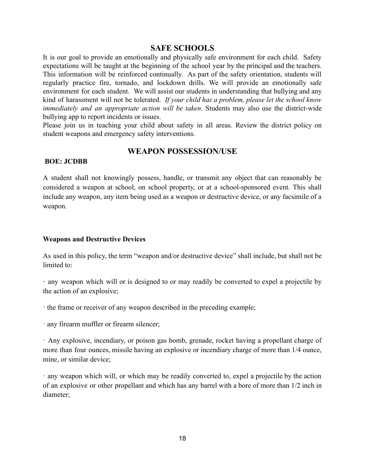## **SAFE SCHOOLS**

It is our goal to provide an emotionally and physically safe environment for each child. Safety expectations will be taught at the beginning of the school year by the principal and the teachers. This information will be reinforced continually. As part of the safety orientation, students will regularly practice fire, tornado, and lockdown drills. We will provide an emotionally safe environment for each student. We will assist our students in understanding that bullying and any kind of harassment will not be tolerated. *If your child has a problem, please let the school know immediately and an appropriate action will be taken.* Students may also use the district-wide bullying app to report incidents or issues.

Please join us in teaching your child about safety in all areas. Review the district policy on student weapons and emergency safety interventions.

#### **WEAPON POSSESSION/USE**

#### **BOE: JCDBB**

A student shall not knowingly possess, handle, or transmit any object that can reasonably be considered a weapon at school, on school property, or at a school-sponsored event. This shall include any weapon, any item being used as a weapon or destructive device, or any facsimile of a weapon.

#### **Weapons and Destructive Devices**

As used in this policy, the term "weapon and/or destructive device" shall include, but shall not be limited to:

**·** any weapon which will or is designed to or may readily be converted to expel a projectile by the action of an explosive;

· the frame or receiver of any weapon described in the preceding example;

· any firearm muffler or firearm silencer;

· Any explosive, incendiary, or poison gas bomb, grenade, rocket having a propellant charge of more than four ounces, missile having an explosive or incendiary charge of more than 1/4 ounce, mine, or similar device;

· any weapon which will, or which may be readily converted to, expel a projectile by the action of an explosive or other propellant and which has any barrel with a bore of more than 1/2 inch in diameter;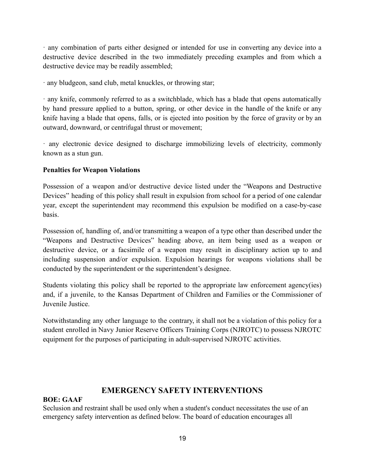· any combination of parts either designed or intended for use in converting any device into a destructive device described in the two immediately preceding examples and from which a destructive device may be readily assembled;

· any bludgeon, sand club, metal knuckles, or throwing star;

· any knife, commonly referred to as a switchblade, which has a blade that opens automatically by hand pressure applied to a button, spring, or other device in the handle of the knife or any knife having a blade that opens, falls, or is ejected into position by the force of gravity or by an outward, downward, or centrifugal thrust or movement;

· any electronic device designed to discharge immobilizing levels of electricity, commonly known as a stun gun.

#### **Penalties for Weapon Violations**

Possession of a weapon and/or destructive device listed under the "Weapons and Destructive Devices" heading of this policy shall result in expulsion from school for a period of one calendar year, except the superintendent may recommend this expulsion be modified on a case-by-case basis.

Possession of, handling of, and/or transmitting a weapon of a type other than described under the "Weapons and Destructive Devices" heading above, an item being used as a weapon or destructive device, or a facsimile of a weapon may result in disciplinary action up to and including suspension and/or expulsion. Expulsion hearings for weapons violations shall be conducted by the superintendent or the superintendent's designee.

Students violating this policy shall be reported to the appropriate law enforcement agency(ies) and, if a juvenile, to the Kansas Department of Children and Families or the Commissioner of Juvenile Justice.

Notwithstanding any other language to the contrary, it shall not be a violation of this policy for a student enrolled in Navy Junior Reserve Officers Training Corps (NJROTC) to possess NJROTC equipment for the purposes of participating in adult-supervised NJROTC activities.

## **EMERGENCY SAFETY INTERVENTIONS**

## **BOE: GAAF**

Seclusion and restraint shall be used only when a student's conduct necessitates the use of an emergency safety intervention as defined below. The board of education encourages all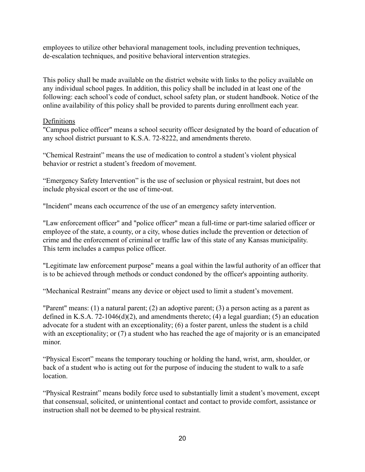employees to utilize other behavioral management tools, including prevention techniques, de-escalation techniques, and positive behavioral intervention strategies.

This policy shall be made available on the district website with links to the policy available on any individual school pages. In addition, this policy shall be included in at least one of the following: each school's code of conduct, school safety plan, or student handbook. Notice of the online availability of this policy shall be provided to parents during enrollment each year.

#### **Definitions**

"Campus police officer" means a school security officer designated by the board of education of any school district pursuant to K.S.A. 72-8222, and amendments thereto.

"Chemical Restraint" means the use of medication to control a student's violent physical behavior or restrict a student's freedom of movement.

"Emergency Safety Intervention" is the use of seclusion or physical restraint, but does not include physical escort or the use of time-out.

"Incident" means each occurrence of the use of an emergency safety intervention.

"Law enforcement officer" and "police officer" mean a full-time or part-time salaried officer or employee of the state, a county, or a city, whose duties include the prevention or detection of crime and the enforcement of criminal or traffic law of this state of any Kansas municipality. This term includes a campus police officer.

"Legitimate law enforcement purpose" means a goal within the lawful authority of an officer that is to be achieved through methods or conduct condoned by the officer's appointing authority.

"Mechanical Restraint" means any device or object used to limit a student's movement.

"Parent" means: (1) a natural parent; (2) an adoptive parent; (3) a person acting as a parent as defined in K.S.A. 72-1046(d)(2), and amendments thereto; (4) a legal guardian; (5) an education advocate for a student with an exceptionality; (6) a foster parent, unless the student is a child with an exceptionality; or (7) a student who has reached the age of majority or is an emancipated minor.

"Physical Escort" means the temporary touching or holding the hand, wrist, arm, shoulder, or back of a student who is acting out for the purpose of inducing the student to walk to a safe location.

"Physical Restraint" means bodily force used to substantially limit a student's movement, except that consensual, solicited, or unintentional contact and contact to provide comfort, assistance or instruction shall not be deemed to be physical restraint.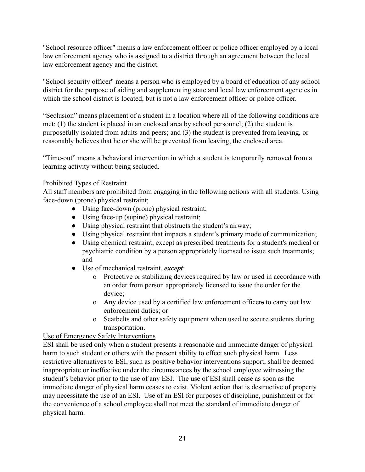"School resource officer" means a law enforcement officer or police officer employed by a local law enforcement agency who is assigned to a district through an agreement between the local law enforcement agency and the district.

"School security officer" means a person who is employed by a board of education of any school district for the purpose of aiding and supplementing state and local law enforcement agencies in which the school district is located, but is not a law enforcement officer or police officer.

"Seclusion" means placement of a student in a location where all of the following conditions are met: (1) the student is placed in an enclosed area by school personnel; (2) the student is purposefully isolated from adults and peers; and (3) the student is prevented from leaving, or reasonably believes that he or she will be prevented from leaving, the enclosed area.

"Time-out" means a behavioral intervention in which a student is temporarily removed from a learning activity without being secluded.

#### Prohibited Types of Restraint

All staff members are prohibited from engaging in the following actions with all students: Using face-down (prone) physical restraint;

- Using face-down (prone) physical restraint;
- Using face-up (supine) physical restraint;
- Using physical restraint that obstructs the student's airway;
- Using physical restraint that impacts a student's primary mode of communication;
- Using chemical restraint, except as prescribed treatments for a student's medical or psychiatric condition by a person appropriately licensed to issue such treatments; and
- Use of mechanical restraint, *except*:
	- o Protective or stabilizing devices required by law or used in accordance with an order from person appropriately licensed to issue the order for the device;
	- o Any device used by a certified law enforcement officers to carry out law enforcement duties; or
	- o Seatbelts and other safety equipment when used to secure students during transportation.

#### Use of Emergency Safety Interventions

ESI shall be used only when a student presents a reasonable and immediate danger of physical harm to such student or others with the present ability to effect such physical harm. Less restrictive alternatives to ESI, such as positive behavior interventions support, shall be deemed inappropriate or ineffective under the circumstances by the school employee witnessing the student's behavior prior to the use of any ESI. The use of ESI shall cease as soon as the immediate danger of physical harm ceases to exist. Violent action that is destructive of property may necessitate the use of an ESI. Use of an ESI for purposes of discipline, punishment or for the convenience of a school employee shall not meet the standard of immediate danger of physical harm.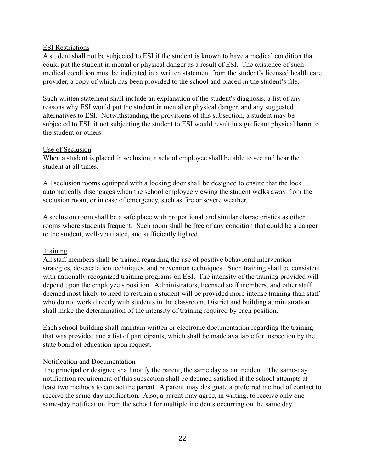#### ESI Restrictions

A student shall not be subjected to ESI if the student is known to have a medical condition that could put the student in mental or physical danger as a result of ESI. The existence of such medical condition must be indicated in a written statement from the student's licensed health care provider, a copy of which has been provided to the school and placed in the student's file.

Such written statement shall include an explanation of the student's diagnosis, a list of any reasons why ESI would put the student in mental or physical danger, and any suggested alternatives to ESI. Notwithstanding the provisions of this subsection, a student may be subjected to ESI, if not subjecting the student to ESI would result in significant physical harm to the student or others.

#### Use of Seclusion

When a student is placed in seclusion, a school employee shall be able to see and hear the student at all times.

All seclusion rooms equipped with a locking door shall be designed to ensure that the lock automatically disengages when the school employee viewing the student walks away from the seclusion room, or in case of emergency, such as fire or severe weather.

A seclusion room shall be a safe place with proportional and similar characteristics as other rooms where students frequent. Such room shall be free of any condition that could be a danger to the student, well-ventilated, and sufficiently lighted.

#### **Training**

All staff members shall be trained regarding the use of positive behavioral intervention strategies, de-escalation techniques, and prevention techniques. Such training shall be consistent with nationally recognized training programs on ESI. The intensity of the training provided will depend upon the employee's position. Administrators, licensed staff members, and other staff deemed most likely to need to restrain a student will be provided more intense training than staff who do not work directly with students in the classroom. District and building administration shall make the determination of the intensity of training required by each position.

Each school building shall maintain written or electronic documentation regarding the training that was provided and a list of participants, which shall be made available for inspection by the state board of education upon request.

#### Notification and Documentation

The principal or designee shall notify the parent, the same day as an incident. The same-day notification requirement of this subsection shall be deemed satisfied if the school attempts at least two methods to contact the parent. A parent may designate a preferred method of contact to receive the same-day notification. Also, a parent may agree, in writing, to receive only one same-day notification from the school for multiple incidents occurring on the same day.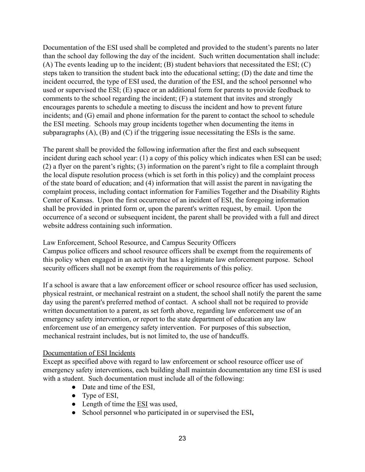Documentation of the ESI used shall be completed and provided to the student's parents no later than the school day following the day of the incident. Such written documentation shall include: (A) The events leading up to the incident; (B) student behaviors that necessitated the ESI; (C) steps taken to transition the student back into the educational setting; (D) the date and time the incident occurred, the type of ESI used, the duration of the ESI, and the school personnel who used or supervised the ESI; (E) space or an additional form for parents to provide feedback to comments to the school regarding the incident; (F) a statement that invites and strongly encourages parents to schedule a meeting to discuss the incident and how to prevent future incidents; and (G) email and phone information for the parent to contact the school to schedule the ESI meeting. Schools may group incidents together when documenting the items in subparagraphs (A), (B) and (C) if the triggering issue necessitating the ESIs is the same.

The parent shall be provided the following information after the first and each subsequent incident during each school year: (1) a copy of this policy which indicates when ESI can be used; (2) a flyer on the parent's rights; (3) information on the parent's right to file a complaint through the local dispute resolution process (which is set forth in this policy) and the complaint process of the state board of education; and (4) information that will assist the parent in navigating the complaint process, including contact information for Families Together and the Disability Rights Center of Kansas. Upon the first occurrence of an incident of ESI, the foregoing information shall be provided in printed form or, upon the parent's written request, by email. Upon the occurrence of a second or subsequent incident, the parent shall be provided with a full and direct website address containing such information.

Law Enforcement, School Resource, and Campus Security Officers

Campus police officers and school resource officers shall be exempt from the requirements of this policy when engaged in an activity that has a legitimate law enforcement purpose. School security officers shall not be exempt from the requirements of this policy.

If a school is aware that a law enforcement officer or school resource officer has used seclusion, physical restraint, or mechanical restraint on a student, the school shall notify the parent the same day using the parent's preferred method of contact. A school shall not be required to provide written documentation to a parent, as set forth above, regarding law enforcement use of an emergency safety intervention, or report to the state department of education any law enforcement use of an emergency safety intervention. For purposes of this subsection, mechanical restraint includes, but is not limited to, the use of handcuffs.

#### Documentation of ESI Incidents

Except as specified above with regard to law enforcement or school resource officer use of emergency safety interventions, each building shall maintain documentation any time ESI is used with a student. Such documentation must include all of the following:

- Date and time of the ESI,
- Type of ESI,
- Length of time the ESI was used,
- School personnel who participated in or supervised the ESI**,**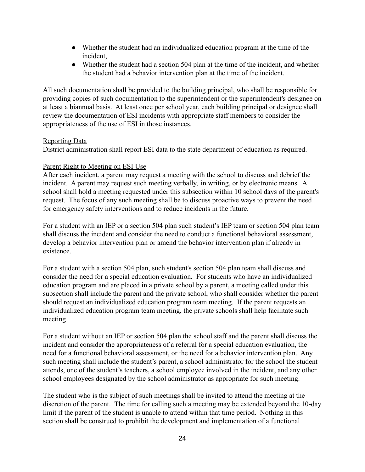- Whether the student had an individualized education program at the time of the incident,
- Whether the student had a section 504 plan at the time of the incident, and whether the student had a behavior intervention plan at the time of the incident.

All such documentation shall be provided to the building principal, who shall be responsible for providing copies of such documentation to the superintendent or the superintendent's designee on at least a biannual basis. At least once per school year, each building principal or designee shall review the documentation of ESI incidents with appropriate staff members to consider the appropriateness of the use of ESI in those instances.

#### Reporting Data

District administration shall report ESI data to the state department of education as required.

#### Parent Right to Meeting on ESI Use

After each incident, a parent may request a meeting with the school to discuss and debrief the incident. A parent may request such meeting verbally, in writing, or by electronic means. A school shall hold a meeting requested under this subsection within 10 school days of the parent's request. The focus of any such meeting shall be to discuss proactive ways to prevent the need for emergency safety interventions and to reduce incidents in the future.

For a student with an IEP or a section 504 plan such student's IEP team or section 504 plan team shall discuss the incident and consider the need to conduct a functional behavioral assessment, develop a behavior intervention plan or amend the behavior intervention plan if already in existence.

For a student with a section 504 plan, such student's section 504 plan team shall discuss and consider the need for a special education evaluation. For students who have an individualized education program and are placed in a private school by a parent, a meeting called under this subsection shall include the parent and the private school, who shall consider whether the parent should request an individualized education program team meeting. If the parent requests an individualized education program team meeting, the private schools shall help facilitate such meeting.

For a student without an IEP or section 504 plan the school staff and the parent shall discuss the incident and consider the appropriateness of a referral for a special education evaluation, the need for a functional behavioral assessment, or the need for a behavior intervention plan. Any such meeting shall include the student's parent, a school administrator for the school the student attends, one of the student's teachers, a school employee involved in the incident, and any other school employees designated by the school administrator as appropriate for such meeting.

The student who is the subject of such meetings shall be invited to attend the meeting at the discretion of the parent. The time for calling such a meeting may be extended beyond the 10-day limit if the parent of the student is unable to attend within that time period. Nothing in this section shall be construed to prohibit the development and implementation of a functional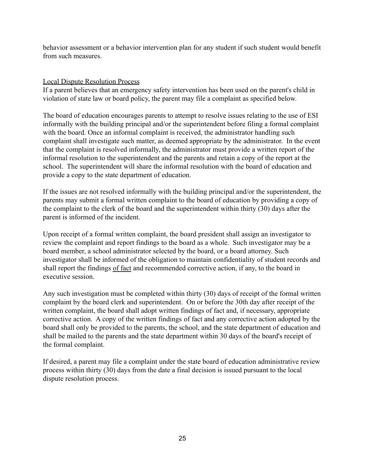behavior assessment or a behavior intervention plan for any student if such student would benefit from such measures.

#### Local Dispute Resolution Process

If a parent believes that an emergency safety intervention has been used on the parent's child in violation of state law or board policy, the parent may file a complaint as specified below.

The board of education encourages parents to attempt to resolve issues relating to the use of ESI informally with the building principal and/or the superintendent before filing a formal complaint with the board. Once an informal complaint is received, the administrator handling such complaint shall investigate such matter, as deemed appropriate by the administrator. In the event that the complaint is resolved informally, the administrator must provide a written report of the informal resolution to the superintendent and the parents and retain a copy of the report at the school. The superintendent will share the informal resolution with the board of education and provide a copy to the state department of education.

If the issues are not resolved informally with the building principal and/or the superintendent, the parents may submit a formal written complaint to the board of education by providing a copy of the complaint to the clerk of the board and the superintendent within thirty (30) days after the parent is informed of the incident.

Upon receipt of a formal written complaint, the board president shall assign an investigator to review the complaint and report findings to the board as a whole. Such investigator may be a board member, a school administrator selected by the board, or a board attorney. Such investigator shall be informed of the obligation to maintain confidentiality of student records and shall report the findings of fact and recommended corrective action, if any, to the board in executive session.

Any such investigation must be completed within thirty (30) days of receipt of the formal written complaint by the board clerk and superintendent. On or before the 30th day after receipt of the written complaint, the board shall adopt written findings of fact and, if necessary, appropriate corrective action. A copy of the written findings of fact and any corrective action adopted by the board shall only be provided to the parents, the school, and the state department of education and shall be mailed to the parents and the state department within 30 days of the board's receipt of the formal complaint.

If desired, a parent may file a complaint under the state board of education administrative review process within thirty (30) days from the date a final decision is issued pursuant to the local dispute resolution process.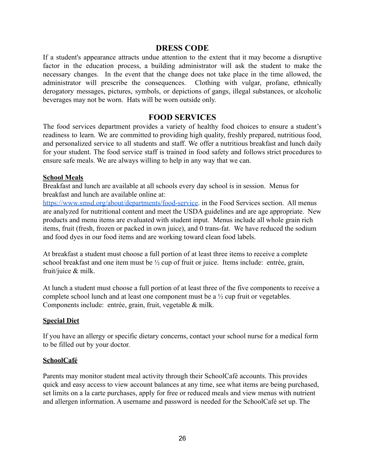#### **DRESS CODE**

If a student's appearance attracts undue attention to the extent that it may become a disruptive factor in the education process, a building administrator will ask the student to make the necessary changes. In the event that the change does not take place in the time allowed, the administrator will prescribe the consequences. Clothing with vulgar, profane, ethnically derogatory messages, pictures, symbols, or depictions of gangs, illegal substances, or alcoholic beverages may not be worn. Hats will be worn outside only.

## **FOOD SERVICES**

The food services department provides a variety of healthy food choices to ensure a student's readiness to learn. We are committed to providing high quality, freshly prepared, nutritious food, and personalized service to all students and staff. We offer a nutritious breakfast and lunch daily for your student. The food service staff is trained in food safety and follows strict procedures to ensure safe meals. We are always willing to help in any way that we can.

#### **School Meals**

Breakfast and lunch are available at all schools every day school is in session. Menus for breakfast and lunch are available online at:

https://www.smsd.org/about/departments/food-service. in the Food Services section. All menus are analyzed for nutritional content and meet the USDA guidelines and are age appropriate. New products and menu items are evaluated with student input. Menus include all whole grain rich items, fruit (fresh, frozen or packed in own juice), and 0 trans-fat. We have reduced the sodium and food dyes in our food items and are working toward clean food labels.

At breakfast a student must choose a full portion of at least three items to receive a complete school breakfast and one item must be ½ cup of fruit or juice. Items include: entrée, grain, fruit/juice & milk.

At lunch a student must choose a full portion of at least three of the five components to receive a complete school lunch and at least one component must be a ½ cup fruit or vegetables. Components include: entrée, grain, fruit, vegetable & milk.

#### **Special Diet**

If you have an allergy or specific dietary concerns, contact your school nurse for a medical form to be filled out by your doctor.

#### **SchoolCafé**

Parents may monitor student meal activity through their SchoolCafé accounts. This provides quick and easy access to view account balances at any time, see what items are being purchased, set limits on a la carte purchases, apply for free or reduced meals and view menus with nutrient and allergen information. A username and password is needed for the SchoolCafé set up. The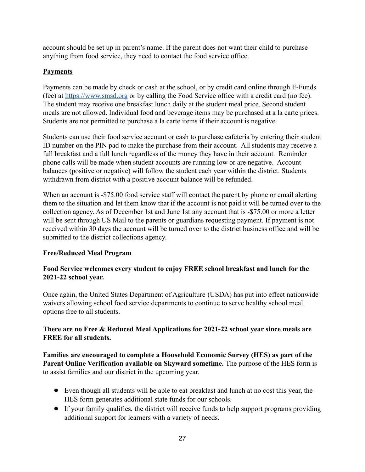account should be set up in parent's name. If the parent does not want their child to purchase anything from food service, they need to contact the food service office.

## **Payments**

Payments can be made by check or cash at the school, or by credit card online through E-Funds (fee) at https://www.smsd.org or by calling the Food Service office with a credit card (no fee). The student may receive one breakfast lunch daily at the student meal price. Second student meals are not allowed. Individual food and beverage items may be purchased at a la carte prices. Students are not permitted to purchase a la carte items if their account is negative.

Students can use their food service account or cash to purchase cafeteria by entering their student ID number on the PIN pad to make the purchase from their account. All students may receive a full breakfast and a full lunch regardless of the money they have in their account. Reminder phone calls will be made when student accounts are running low or are negative. Account balances (positive or negative) will follow the student each year within the district. Students withdrawn from district with a positive account balance will be refunded.

When an account is -\$75.00 food service staff will contact the parent by phone or email alerting them to the situation and let them know that if the account is not paid it will be turned over to the collection agency. As of December 1st and June 1st any account that is -\$75.00 or more a letter will be sent through US Mail to the parents or guardians requesting payment. If payment is not received within 30 days the account will be turned over to the district business office and will be submitted to the district collections agency.

#### **Free/Reduced Meal Program**

#### **Food Service welcomes every student to enjoy FREE school breakfast and lunch for the 2021-22 school year.**

Once again, the United States Department of Agriculture (USDA) has put into effect nationwide waivers allowing school food service departments to continue to serve healthy school meal options free to all students.

#### **There are no Free & Reduced Meal Applications for 2021-22 school year since meals are FREE for all students.**

**Families are encouraged to complete a Household Economic Survey (HES) as part of the Parent Online Verification available on Skyward sometime.** The purpose of the HES form is to assist families and our district in the upcoming year.

- Even though all students will be able to eat breakfast and lunch at no cost this year, the HES form generates additional state funds for our schools.
- If your family qualifies, the district will receive funds to help support programs providing additional support for learners with a variety of needs.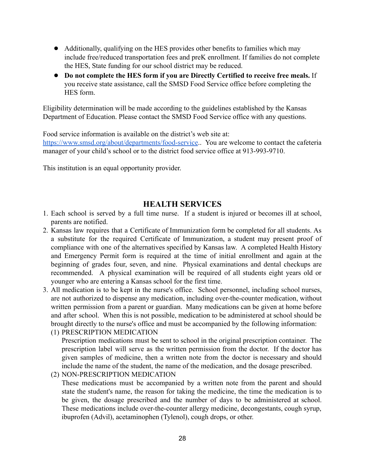- Additionally, qualifying on the HES provides other benefits to families which may include free/reduced transportation fees and preK enrollment. If families do not complete the HES, State funding for our school district may be reduced.
- **Do not complete the HES form if you are Directly Certified to receive free meals.** If you receive state assistance, call the SMSD Food Service office before completing the HES form.

Eligibility determination will be made according to the guidelines established by the Kansas Department of Education. Please contact the SMSD Food Service office with any questions.

Food service information is available on the district's web site at:

https://www.smsd.org/about/departments/food-service.. You are welcome to contact the cafeteria manager of your child's school or to the district food service office at 913-993-9710.

This institution is an equal opportunity provider.

#### **HEALTH SERVICES**

- 1. Each school is served by a full time nurse. If a student is injured or becomes ill at school, parents are notified.
- 2. Kansas law requires that a Certificate of Immunization form be completed for all students. As a substitute for the required Certificate of Immunization, a student may present proof of compliance with one of the alternatives specified by Kansas law. A completed Health History and Emergency Permit form is required at the time of initial enrollment and again at the beginning of grades four, seven, and nine. Physical examinations and dental checkups are recommended. A physical examination will be required of all students eight years old or younger who are entering a Kansas school for the first time.
- 3. All medication is to be kept in the nurse's office. School personnel, including school nurses, are not authorized to dispense any medication, including over-the-counter medication, without written permission from a parent or guardian. Many medications can be given at home before and after school. When this is not possible, medication to be administered at school should be brought directly to the nurse's office and must be accompanied by the following information:
	- (1) PRESCRIPTION MEDICATION

Prescription medications must be sent to school in the original prescription container. The prescription label will serve as the written permission from the doctor. If the doctor has given samples of medicine, then a written note from the doctor is necessary and should include the name of the student, the name of the medication, and the dosage prescribed.

(2) NON-PRESCRIPTION MEDICATION

These medications must be accompanied by a written note from the parent and should state the student's name, the reason for taking the medicine, the time the medication is to be given, the dosage prescribed and the number of days to be administered at school. These medications include over-the-counter allergy medicine, decongestants, cough syrup, ibuprofen (Advil), acetaminophen (Tylenol), cough drops, or other.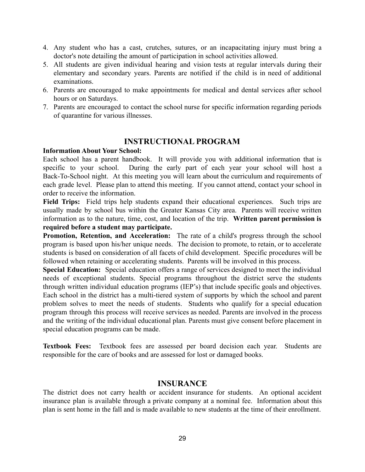- 4. Any student who has a cast, crutches, sutures, or an incapacitating injury must bring a doctor's note detailing the amount of participation in school activities allowed.
- 5. All students are given individual hearing and vision tests at regular intervals during their elementary and secondary years. Parents are notified if the child is in need of additional examinations.
- 6. Parents are encouraged to make appointments for medical and dental services after school hours or on Saturdays.
- 7. Parents are encouraged to contact the school nurse for specific information regarding periods of quarantine for various illnesses.

## **INSTRUCTIONAL PROGRAM**

#### **Information About Your School:**

Each school has a parent handbook. It will provide you with additional information that is specific to your school. During the early part of each year your school will host a Back-To-School night. At this meeting you will learn about the curriculum and requirements of each grade level. Please plan to attend this meeting. If you cannot attend, contact your school in order to receive the information.

**Field Trips:** Field trips help students expand their educational experiences. Such trips are usually made by school bus within the Greater Kansas City area. Parents will receive written information as to the nature, time, cost, and location of the trip. **Written parent permission is required before a student may participate.**

**Promotion, Retention, and Acceleration:** The rate of a child's progress through the school program is based upon his/her unique needs. The decision to promote, to retain, or to accelerate students is based on consideration of all facets of child development. Specific procedures will be followed when retaining or accelerating students. Parents will be involved in this process.

**Special Education:** Special education offers a range of services designed to meet the individual needs of exceptional students. Special programs throughout the district serve the students through written individual education programs (IEP's) that include specific goals and objectives. Each school in the district has a multi-tiered system of supports by which the school and parent problem solves to meet the needs of students. Students who qualify for a special education program through this process will receive services as needed. Parents are involved in the process and the writing of the individual educational plan. Parents must give consent before placement in special education programs can be made.

**Textbook Fees:** Textbook fees are assessed per board decision each year. Students are responsible for the care of books and are assessed for lost or damaged books.

## **INSURANCE**

The district does not carry health or accident insurance for students. An optional accident insurance plan is available through a private company at a nominal fee. Information about this plan is sent home in the fall and is made available to new students at the time of their enrollment.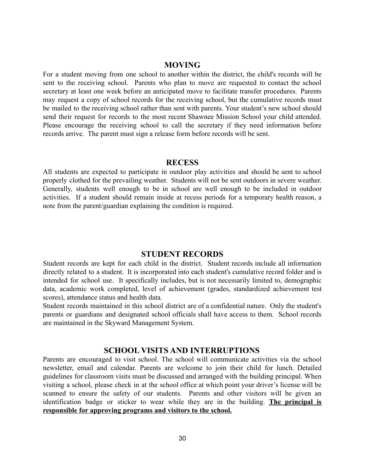#### **MOVING**

For a student moving from one school to another within the district, the child's records will be sent to the receiving school. Parents who plan to move are requested to contact the school secretary at least one week before an anticipated move to facilitate transfer procedures. Parents may request a copy of school records for the receiving school, but the cumulative records must be mailed to the receiving school rather than sent with parents. Your student's new school should send their request for records to the most recent Shawnee Mission School your child attended. Please encourage the receiving school to call the secretary if they need information before records arrive. The parent must sign a release form before records will be sent.

#### **RECESS**

All students are expected to participate in outdoor play activities and should be sent to school properly clothed for the prevailing weather. Students will not be sent outdoors in severe weather. Generally, students well enough to be in school are well enough to be included in outdoor activities. If a student should remain inside at recess periods for a temporary health reason, a note from the parent/guardian explaining the condition is required.

#### **STUDENT RECORDS**

Student records are kept for each child in the district. Student records include all information directly related to a student. It is incorporated into each student's cumulative record folder and is intended for school use. It specifically includes, but is not necessarily limited to, demographic data, academic work completed, level of achievement (grades, standardized achievement test scores), attendance status and health data.

Student records maintained in this school district are of a confidential nature. Only the student's parents or guardians and designated school officials shall have access to them. School records are maintained in the Skyward Management System.

#### **SCHOOL VISITS AND INTERRUPTIONS**

Parents are encouraged to visit school. The school will communicate activities via the school newsletter, email and calendar. Parents are welcome to join their child for lunch. Detailed guidelines for classroom visits must be discussed and arranged with the building principal. When visiting a school, please check in at the school office at which point your driver's license will be scanned to ensure the safety of our students. Parents and other visitors will be given an identification badge or sticker to wear while they are in the building. **The principal is responsible for approving programs and visitors to the school.**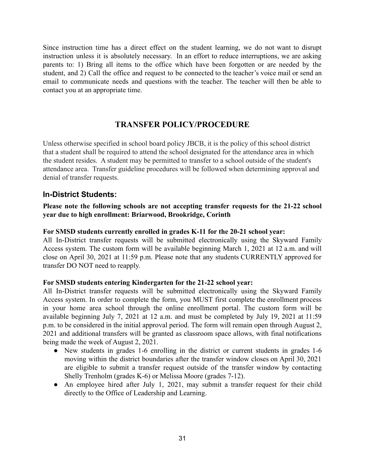Since instruction time has a direct effect on the student learning, we do not want to disrupt instruction unless it is absolutely necessary. In an effort to reduce interruptions, we are asking parents to: 1) Bring all items to the office which have been forgotten or are needed by the student, and 2) Call the office and request to be connected to the teacher's voice mail or send an email to communicate needs and questions with the teacher. The teacher will then be able to contact you at an appropriate time.

## **TRANSFER POLICY/PROCEDURE**

Unless otherwise specified in school board policy JBCB, it is the policy of this school district that a student shall be required to attend the school designated for the attendance area in which the student resides. A student may be permitted to transfer to a school outside of the student's attendance area. Transfer guideline procedures will be followed when determining approval and denial of transfer requests.

## **In-District Students:**

#### **Please note the following schools are not accepting transfer requests for the 21-22 school year due to high enrollment: Briarwood, Brookridge, Corinth**

#### **For SMSD students currently enrolled in grades K-11 for the 20-21 school year:**

All In-District transfer requests will be submitted electronically using the Skyward Family Access system. The custom form will be available beginning March 1, 2021 at 12 a.m. and will close on April 30, 2021 at 11:59 p.m. Please note that any students CURRENTLY approved for transfer DO NOT need to reapply.

#### **For SMSD students entering Kindergarten for the 21-22 school year:**

All In-District transfer requests will be submitted electronically using the Skyward Family Access system. In order to complete the form, you MUST first complete the enrollment process in your home area school through the online enrollment portal. The custom form will be available beginning July 7, 2021 at 12 a.m. and must be completed by July 19, 2021 at 11:59 p.m. to be considered in the initial approval period. The form will remain open through August 2, 2021 and additional transfers will be granted as classroom space allows, with final notifications being made the week of August 2, 2021.

- New students in grades 1-6 enrolling in the district or current students in grades 1-6 moving within the district boundaries after the transfer window closes on April 30, 2021 are eligible to submit a transfer request outside of the transfer window by contacting Shelly Trenholm (grades K-6) or Melissa Moore (grades 7-12).
- An employee hired after July 1, 2021, may submit a transfer request for their child directly to the Office of Leadership and Learning.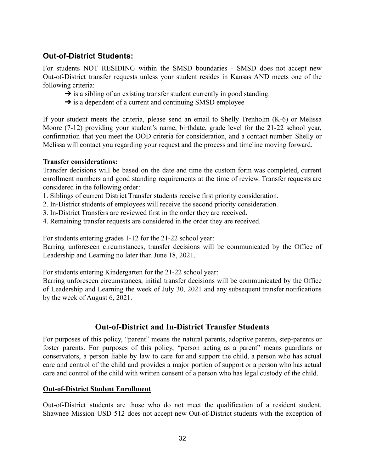## **Out-of-District Students:**

For students NOT RESIDING within the SMSD boundaries - SMSD does not accept new Out-of-District transfer requests unless your student resides in Kansas AND meets one of the following criteria:

- $\rightarrow$  is a sibling of an existing transfer student currently in good standing.
- $\rightarrow$  is a dependent of a current and continuing SMSD employee

If your student meets the criteria, please send an email to Shelly Trenholm (K-6) or Melissa Moore (7-12) providing your student's name, birthdate, grade level for the 21-22 school year, confirmation that you meet the OOD criteria for consideration, and a contact number. Shelly or Melissa will contact you regarding your request and the process and timeline moving forward.

#### **Transfer considerations:**

Transfer decisions will be based on the date and time the custom form was completed, current enrollment numbers and good standing requirements at the time of review. Transfer requests are considered in the following order:

- 1. Siblings of current District Transfer students receive first priority consideration.
- 2. In-District students of employees will receive the second priority consideration.
- 3. In-District Transfers are reviewed first in the order they are received.
- 4. Remaining transfer requests are considered in the order they are received.

For students entering grades 1-12 for the 21-22 school year:

Barring unforeseen circumstances, transfer decisions will be communicated by the Office of Leadership and Learning no later than June 18, 2021.

For students entering Kindergarten for the 21-22 school year:

Barring unforeseen circumstances, initial transfer decisions will be communicated by the Office of Leadership and Learning the week of July 30, 2021 and any subsequent transfer notifications by the week of August 6, 2021.

## **Out-of-District and In-District Transfer Students**

For purposes of this policy, "parent" means the natural parents, adoptive parents, step-parents or foster parents. For purposes of this policy, "person acting as a parent" means guardians or conservators, a person liable by law to care for and support the child, a person who has actual care and control of the child and provides a major portion of support or a person who has actual care and control of the child with written consent of a person who has legal custody of the child.

#### **Out-of-District Student Enrollment**

Out-of-District students are those who do not meet the qualification of a resident student. Shawnee Mission USD 512 does not accept new Out-of-District students with the exception of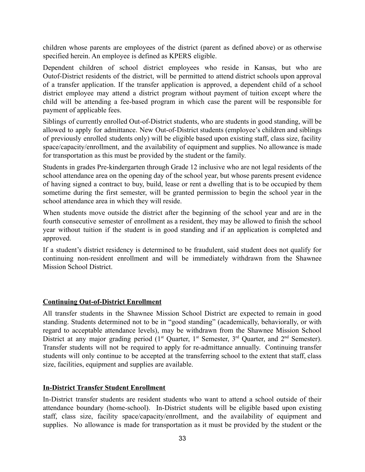children whose parents are employees of the district (parent as defined above) or as otherwise specified herein. An employee is defined as KPERS eligible.

Dependent children of school district employees who reside in Kansas, but who are Outof-District residents of the district, will be permitted to attend district schools upon approval of a transfer application. If the transfer application is approved, a dependent child of a school district employee may attend a district program without payment of tuition except where the child will be attending a fee-based program in which case the parent will be responsible for payment of applicable fees.

Siblings of currently enrolled Out-of-District students, who are students in good standing, will be allowed to apply for admittance. New Out-of-District students (employee's children and siblings of previously enrolled students only) will be eligible based upon existing staff, class size, facility space/capacity/enrollment, and the availability of equipment and supplies. No allowance is made for transportation as this must be provided by the student or the family.

Students in grades Pre-kindergarten through Grade 12 inclusive who are not legal residents of the school attendance area on the opening day of the school year, but whose parents present evidence of having signed a contract to buy, build, lease or rent a dwelling that is to be occupied by them sometime during the first semester, will be granted permission to begin the school year in the school attendance area in which they will reside.

When students move outside the district after the beginning of the school year and are in the fourth consecutive semester of enrollment as a resident, they may be allowed to finish the school year without tuition if the student is in good standing and if an application is completed and approved.

If a student's district residency is determined to be fraudulent, said student does not qualify for continuing non-resident enrollment and will be immediately withdrawn from the Shawnee Mission School District.

#### **Continuing Out-of-District Enrollment**

All transfer students in the Shawnee Mission School District are expected to remain in good standing. Students determined not to be in "good standing" (academically, behaviorally, or with regard to acceptable attendance levels), may be withdrawn from the Shawnee Mission School District at any major grading period  $(1<sup>st</sup>$  Quarter,  $1<sup>st</sup>$  Semester,  $3<sup>rd</sup>$  Quarter, and  $2<sup>nd</sup>$  Semester). Transfer students will not be required to apply for re-admittance annually. Continuing transfer students will only continue to be accepted at the transferring school to the extent that staff, class size, facilities, equipment and supplies are available.

#### **In-District Transfer Student Enrollment**

In-District transfer students are resident students who want to attend a school outside of their attendance boundary (home-school). In-District students will be eligible based upon existing staff, class size, facility space/capacity/enrollment, and the availability of equipment and supplies. No allowance is made for transportation as it must be provided by the student or the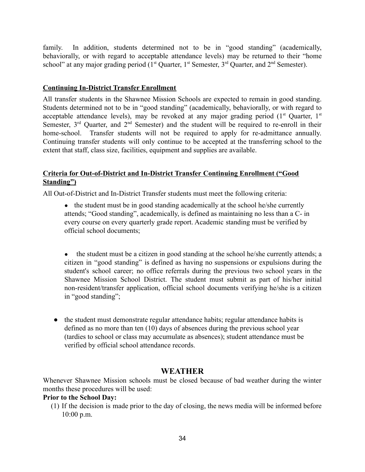family. In addition, students determined not to be in "good standing" (academically, behaviorally, or with regard to acceptable attendance levels) may be returned to their "home school" at any major grading period ( $1<sup>st</sup>$  Quarter,  $1<sup>st</sup>$  Semester,  $3<sup>rd</sup>$  Quarter, and  $2<sup>nd</sup>$  Semester).

#### **Continuing In-District Transfer Enrollment**

All transfer students in the Shawnee Mission Schools are expected to remain in good standing. Students determined not to be in "good standing" (academically, behaviorally, or with regard to acceptable attendance levels), may be revoked at any major grading period  $(1<sup>st</sup>$  Quarter,  $1<sup>st</sup>$ Semester,  $3<sup>rd</sup>$  Quarter, and  $2<sup>nd</sup>$  Semester) and the student will be required to re-enroll in their home-school. Transfer students will not be required to apply for re-admittance annually. Continuing transfer students will only continue to be accepted at the transferring school to the extent that staff, class size, facilities, equipment and supplies are available.

#### **Criteria for Out-of-District and In-District Transfer Continuing Enrollment ("Good Standing")**

All Out-of-District and In-District Transfer students must meet the following criteria:

- the student must be in good standing academically at the school he/she currently attends; "Good standing", academically, is defined as maintaining no less than a C- in every course on every quarterly grade report. Academic standing must be verified by official school documents;
- the student must be a citizen in good standing at the school he/she currently attends; a citizen in "good standing" is defined as having no suspensions or expulsions during the student's school career; no office referrals during the previous two school years in the Shawnee Mission School District. The student must submit as part of his/her initial non-resident/transfer application, official school documents verifying he/she is a citizen in "good standing";
- the student must demonstrate regular attendance habits; regular attendance habits is defined as no more than ten (10) days of absences during the previous school year (tardies to school or class may accumulate as absences); student attendance must be verified by official school attendance records.

## **WEATHER**

Whenever Shawnee Mission schools must be closed because of bad weather during the winter months these procedures will be used:

#### **Prior to the School Day:**

(1) If the decision is made prior to the day of closing, the news media will be informed before 10:00 p.m.